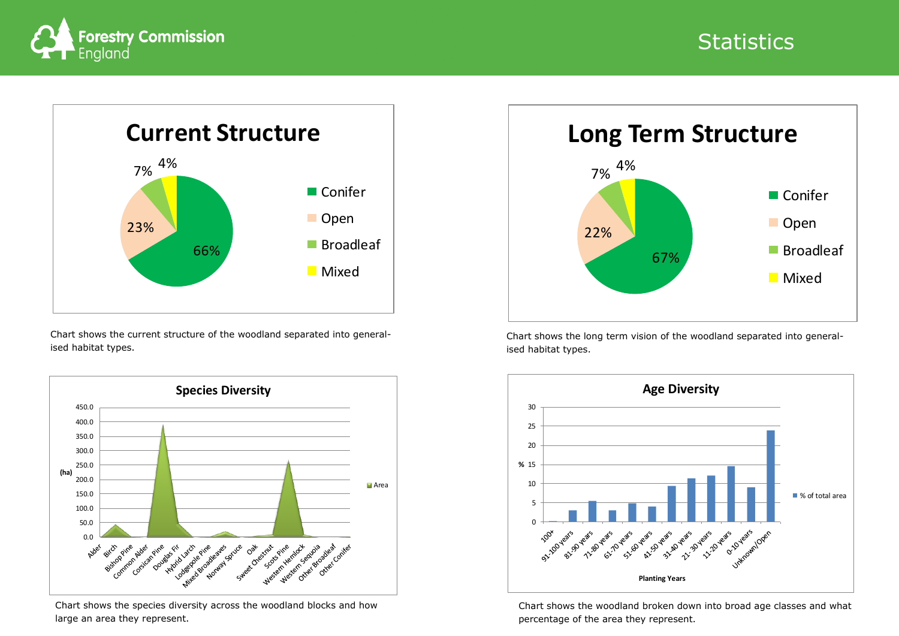

Chart shows the current structure of the woodland separated into generalised habitat types.



Chart shows the long term vision of the woodland separated into generalised habitat types.

Chart shows the species diversity across the woodland blocks and how large an area they represent.

Chart shows the woodland broken down into broad age classes and what

# **Statistics**





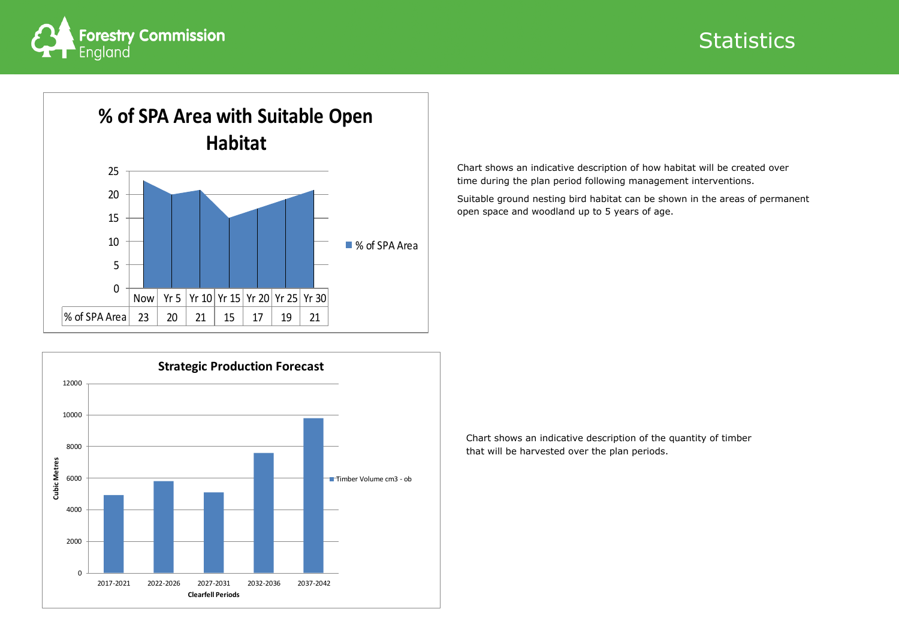Chart shows an indicative description of how habitat will be created over time during the plan period following management interventions.

Suitable ground nesting bird habitat can be shown in the areas of permanent open space and woodland up to 5 years of age.



Chart shows an indicative description of the quantity of timber that will be harvested over the plan periods.

# **Statistics**



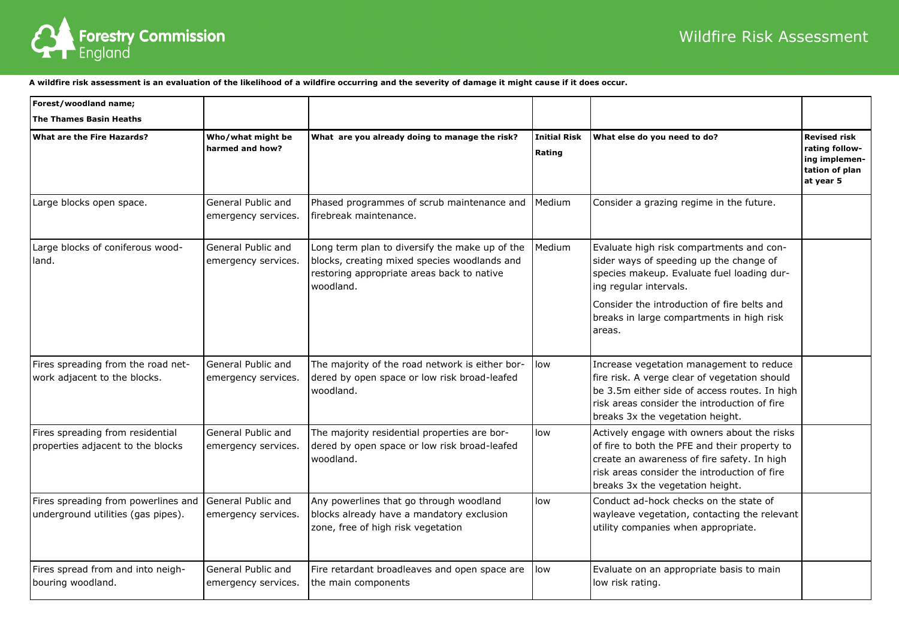# Wildfire Risk Assessment



**A wildfire risk assessment is an evaluation of the likelihood of a wildfire occurring and the severity of damage it might cause if it does occur.** 

| Forest/woodland name;                                                     |                                           |                                                                                                                                                                                                         |                               |                                                                                                                                                                                                                                 |                                                                                       |
|---------------------------------------------------------------------------|-------------------------------------------|---------------------------------------------------------------------------------------------------------------------------------------------------------------------------------------------------------|-------------------------------|---------------------------------------------------------------------------------------------------------------------------------------------------------------------------------------------------------------------------------|---------------------------------------------------------------------------------------|
| The Thames Basin Heaths                                                   |                                           |                                                                                                                                                                                                         |                               |                                                                                                                                                                                                                                 |                                                                                       |
| What are the Fire Hazards?                                                | Who/what might be<br>harmed and how?      | What are you already doing to manage the risk?                                                                                                                                                          | <b>Initial Risk</b><br>Rating | What else do you need to do?                                                                                                                                                                                                    | <b>Revised risk</b><br>rating follow-<br>ing implemen-<br>tation of plan<br>at year 5 |
| Large blocks open space.                                                  | General Public and<br>emergency services. | Phased programmes of scrub maintenance and<br>firebreak maintenance.                                                                                                                                    | Medium                        | Consider a grazing regime in the future.                                                                                                                                                                                        |                                                                                       |
| Large blocks of coniferous wood-<br>land.                                 | General Public and<br>emergency services. | Medium<br>Long term plan to diversify the make up of the<br>blocks, creating mixed species woodlands and<br>restoring appropriate areas back to native<br>woodland.<br>ing regular intervals.<br>areas. |                               | Evaluate high risk compartments and con-<br>sider ways of speeding up the change of<br>species makeup. Evaluate fuel loading dur-<br>Consider the introduction of fire belts and<br>breaks in large compartments in high risk   |                                                                                       |
| Fires spreading from the road net-<br>work adjacent to the blocks.        | General Public and<br>emergency services. | The majority of the road network is either bor-<br>dered by open space or low risk broad-leafed<br>woodland.                                                                                            | low                           | Increase vegetation management to reduce<br>fire risk. A verge clear of vegetation should<br>be 3.5m either side of access routes. In high<br>risk areas consider the introduction of fire<br>breaks 3x the vegetation height.  |                                                                                       |
| Fires spreading from residential<br>properties adjacent to the blocks     | General Public and<br>emergency services. | The majority residential properties are bor-<br>dered by open space or low risk broad-leafed<br>woodland.                                                                                               | low                           | Actively engage with owners about the risks<br>of fire to both the PFE and their property to<br>create an awareness of fire safety. In high<br>risk areas consider the introduction of fire<br>breaks 3x the vegetation height. |                                                                                       |
| Fires spreading from powerlines and<br>underground utilities (gas pipes). | General Public and<br>emergency services. | Any powerlines that go through woodland<br>blocks already have a mandatory exclusion<br>zone, free of high risk vegetation                                                                              | low                           | Conduct ad-hock checks on the state of<br>wayleave vegetation, contacting the relevant<br>utility companies when appropriate.                                                                                                   |                                                                                       |
| Fires spread from and into neigh-<br>bouring woodland.                    | General Public and<br>emergency services. | Fire retardant broadleaves and open space are<br>the main components                                                                                                                                    | llow                          | Evaluate on an appropriate basis to main<br>low risk rating.                                                                                                                                                                    |                                                                                       |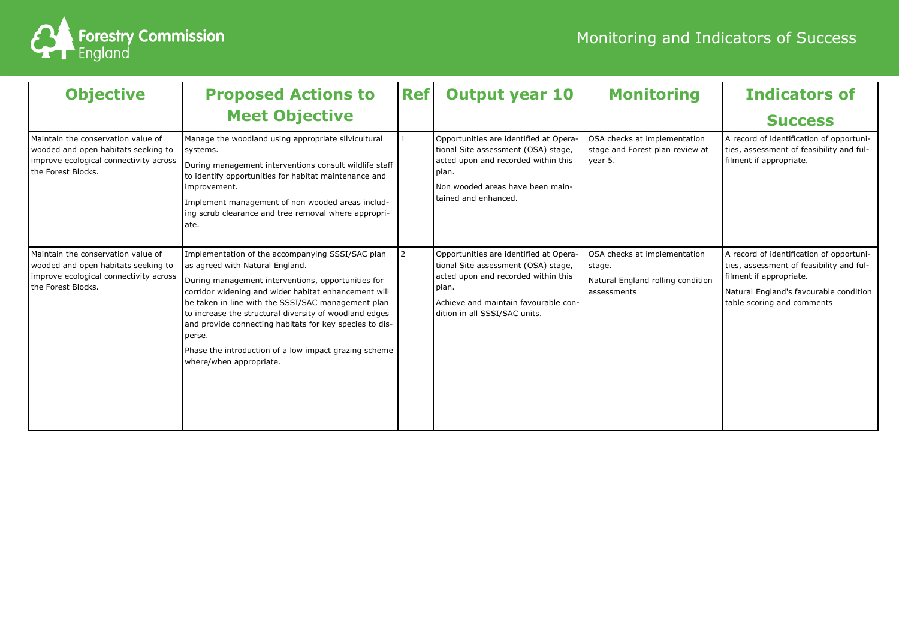

| <b>Objective</b>                                                                                                                          | <b>Proposed Actions to</b><br><b>Meet Objective</b>                                                                                                                                                                                                                                                                                                                                                                                                                        | <b>Ref</b> | <b>Output year 10</b>                                                                                                                                                                                  | <b>Monitoring</b>                                                                          | <b>Indicators of</b><br><b>Success</b>                                                                                                                                                  |
|-------------------------------------------------------------------------------------------------------------------------------------------|----------------------------------------------------------------------------------------------------------------------------------------------------------------------------------------------------------------------------------------------------------------------------------------------------------------------------------------------------------------------------------------------------------------------------------------------------------------------------|------------|--------------------------------------------------------------------------------------------------------------------------------------------------------------------------------------------------------|--------------------------------------------------------------------------------------------|-----------------------------------------------------------------------------------------------------------------------------------------------------------------------------------------|
| Maintain the conservation value of<br>wooded and open habitats seeking to<br>improve ecological connectivity across<br>the Forest Blocks. | Manage the woodland using appropriate silvicultural<br>systems.<br>During management interventions consult wildlife staff<br>to identify opportunities for habitat maintenance and<br>improvement.<br>Implement management of non wooded areas includ-<br>ing scrub clearance and tree removal where appropri-<br>ate.                                                                                                                                                     |            | Opportunities are identified at Opera<br>tional Site assessment (OSA) stage,<br>acted upon and recorded within this<br>plan.<br>Non wooded areas have been main-<br>tained and enhanced.               | OSA checks at implementation<br>stage and Forest plan review at<br>year 5.                 | A record of identification of opportuni-<br>ties, assessment of feasibility and ful-<br>filment if appropriate.                                                                         |
| Maintain the conservation value of<br>wooded and open habitats seeking to<br>improve ecological connectivity across<br>the Forest Blocks. | Implementation of the accompanying SSSI/SAC plan<br>as agreed with Natural England.<br>During management interventions, opportunities for<br>corridor widening and wider habitat enhancement will<br>be taken in line with the SSSI/SAC management plan<br>to increase the structural diversity of woodland edges<br>and provide connecting habitats for key species to dis-<br>perse.<br>Phase the introduction of a low impact grazing scheme<br>where/when appropriate. |            | Opportunities are identified at Opera-<br>tional Site assessment (OSA) stage,<br>acted upon and recorded within this<br>plan.<br>Achieve and maintain favourable con-<br>dition in all SSSI/SAC units. | OSA checks at implementation<br>stage.<br>Natural England rolling condition<br>assessments | A record of identification of opportuni-<br>ties, assessment of feasibility and ful-<br>filment if appropriate.<br>Natural England's favourable condition<br>table scoring and comments |

# Monitoring and Indicators of Success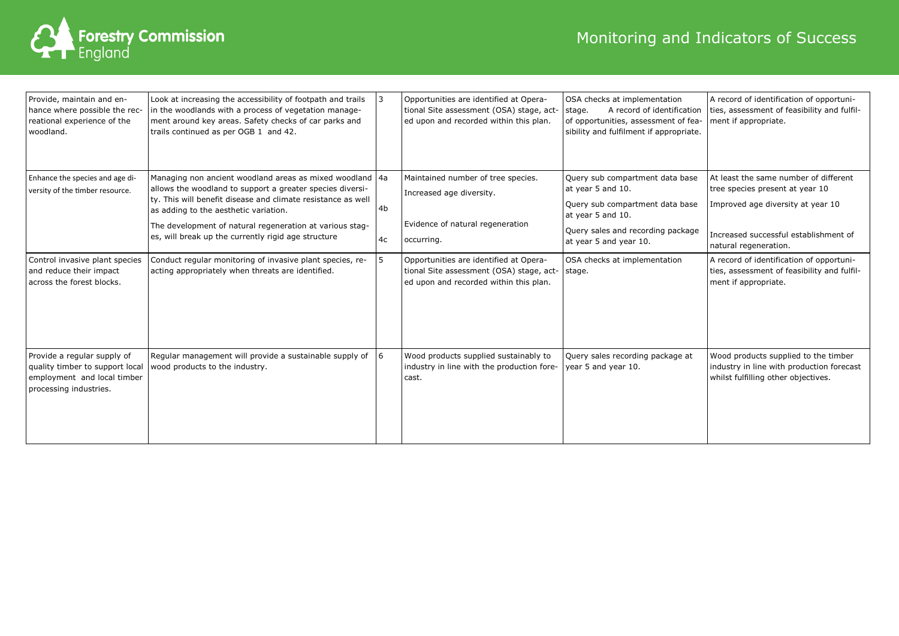

| Provide, maintain and en-<br>hance where possible the rec-<br>reational experience of the<br>woodland.                  | Look at increasing the accessibility of footpath and trails<br>in the woodlands with a process of vegetation manage-<br>ment around key areas. Safety checks of car parks and<br>trails continued as per OGB 1 and 42.                                                                                                                            | 3        | Opportunities are identified at Opera-<br>tional Site assessment (OSA) stage, act-<br>ed upon and recorded within this plan. | OSA checks at implementation<br>A record of identification<br>stage.<br>of opportunities, assessment of fea-<br>sibility and fulfilment if appropriate.                     | A record of identification of opportuni-<br>ties, assessment of feasibility and fulfil-<br>ment if appropriate.                                                                 |
|-------------------------------------------------------------------------------------------------------------------------|---------------------------------------------------------------------------------------------------------------------------------------------------------------------------------------------------------------------------------------------------------------------------------------------------------------------------------------------------|----------|------------------------------------------------------------------------------------------------------------------------------|-----------------------------------------------------------------------------------------------------------------------------------------------------------------------------|---------------------------------------------------------------------------------------------------------------------------------------------------------------------------------|
| Enhance the species and age di-<br>versity of the timber resource.                                                      | Managing non ancient woodland areas as mixed woodland 4a<br>allows the woodland to support a greater species diversi-<br>ty. This will benefit disease and climate resistance as well<br>as adding to the aesthetic variation.<br>The development of natural regeneration at various stag-<br>es, will break up the currently rigid age structure | 4b<br>4c | Maintained number of tree species.<br>Increased age diversity.<br>Evidence of natural regeneration<br>occurring.             | Query sub compartment data base<br>at year 5 and 10.<br>Query sub compartment data base<br>at year 5 and 10.<br>Query sales and recording package<br>at year 5 and year 10. | At least the same number of different<br>tree species present at year 10<br>Improved age diversity at year 10<br>Increased successful establishment of<br>natural regeneration. |
| Control invasive plant species<br>and reduce their impact<br>across the forest blocks.                                  | Conduct regular monitoring of invasive plant species, re-<br>acting appropriately when threats are identified.                                                                                                                                                                                                                                    | 5        | Opportunities are identified at Opera-<br>tional Site assessment (OSA) stage, act-<br>ed upon and recorded within this plan. | OSA checks at implementation<br>stage.                                                                                                                                      | A record of identification of opportuni-<br>ties, assessment of feasibility and fulfil-<br>ment if appropriate.                                                                 |
| Provide a regular supply of<br>quality timber to support local<br>employment and local timber<br>processing industries. | Regular management will provide a sustainable supply of<br>wood products to the industry.                                                                                                                                                                                                                                                         | 6        | Wood products supplied sustainably to<br>industry in line with the production fore-<br>cast.                                 | Query sales recording package at<br>year 5 and year 10.                                                                                                                     | Wood products supplied to the timber<br>industry in line with production forecast<br>whilst fulfilling other objectives.                                                        |

# Monitoring and Indicators of Success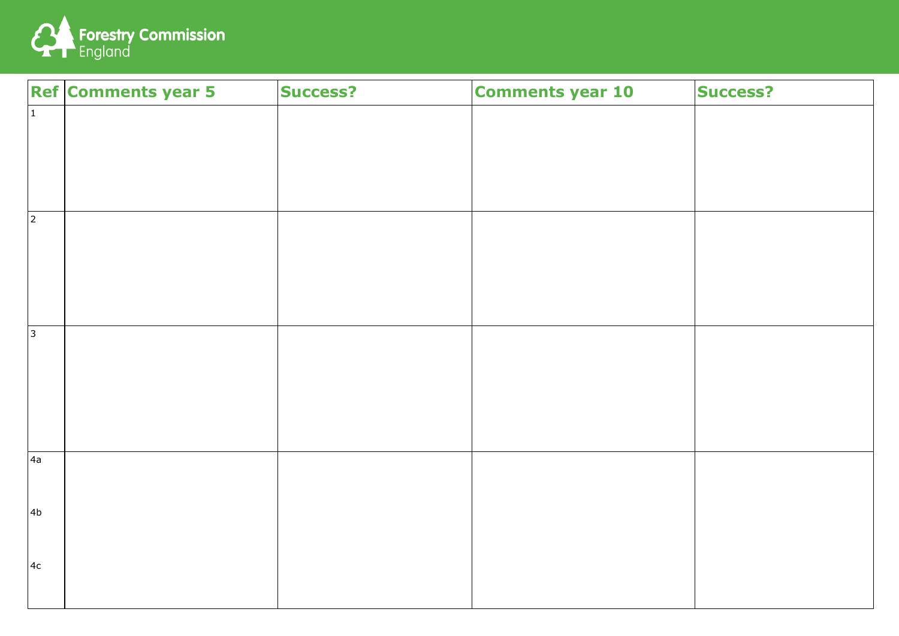

|                | <b>Ref Comments year 5</b> | <b>Success?</b> | <b>Comments year 10</b> | <b>Success?</b> |
|----------------|----------------------------|-----------------|-------------------------|-----------------|
| $ 1\rangle$    |                            |                 |                         |                 |
|                |                            |                 |                         |                 |
|                |                            |                 |                         |                 |
|                |                            |                 |                         |                 |
| 2              |                            |                 |                         |                 |
|                |                            |                 |                         |                 |
|                |                            |                 |                         |                 |
|                |                            |                 |                         |                 |
| <sub>3</sub>   |                            |                 |                         |                 |
|                |                            |                 |                         |                 |
|                |                            |                 |                         |                 |
|                |                            |                 |                         |                 |
|                |                            |                 |                         |                 |
| 4a             |                            |                 |                         |                 |
|                |                            |                 |                         |                 |
| 4 <sub>b</sub> |                            |                 |                         |                 |
|                |                            |                 |                         |                 |
| 4c             |                            |                 |                         |                 |
|                |                            |                 |                         |                 |

| <b>Success?</b> |
|-----------------|
|                 |
|                 |
|                 |
|                 |
|                 |
|                 |
|                 |
|                 |
|                 |
|                 |
|                 |
|                 |
|                 |
|                 |
|                 |
|                 |
|                 |
|                 |
|                 |
|                 |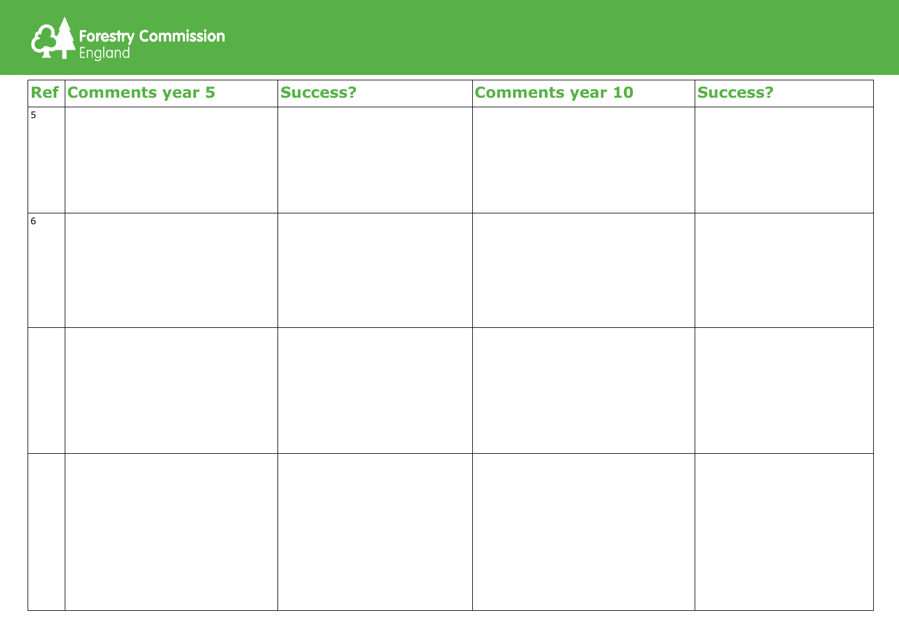

|                 | <b>Ref Comments year 5</b> | <b>Success?</b> | <b>Comments year 10</b> | <b>Success?</b> |
|-----------------|----------------------------|-----------------|-------------------------|-----------------|
| $\vert$ 5       |                            |                 |                         |                 |
|                 |                            |                 |                         |                 |
|                 |                            |                 |                         |                 |
|                 |                            |                 |                         |                 |
| $\vert 6 \vert$ |                            |                 |                         |                 |
|                 |                            |                 |                         |                 |
|                 |                            |                 |                         |                 |
|                 |                            |                 |                         |                 |
|                 |                            |                 |                         |                 |
|                 |                            |                 |                         |                 |
|                 |                            |                 |                         |                 |
|                 |                            |                 |                         |                 |
|                 |                            |                 |                         |                 |
|                 |                            |                 |                         |                 |
|                 |                            |                 |                         |                 |
|                 |                            |                 |                         |                 |
|                 |                            |                 |                         |                 |
|                 |                            |                 |                         |                 |

| <b>Success?</b> |
|-----------------|
|                 |
|                 |
|                 |
|                 |
|                 |
|                 |
|                 |
|                 |
|                 |
|                 |
|                 |
|                 |
|                 |
|                 |
|                 |
|                 |
|                 |
|                 |
|                 |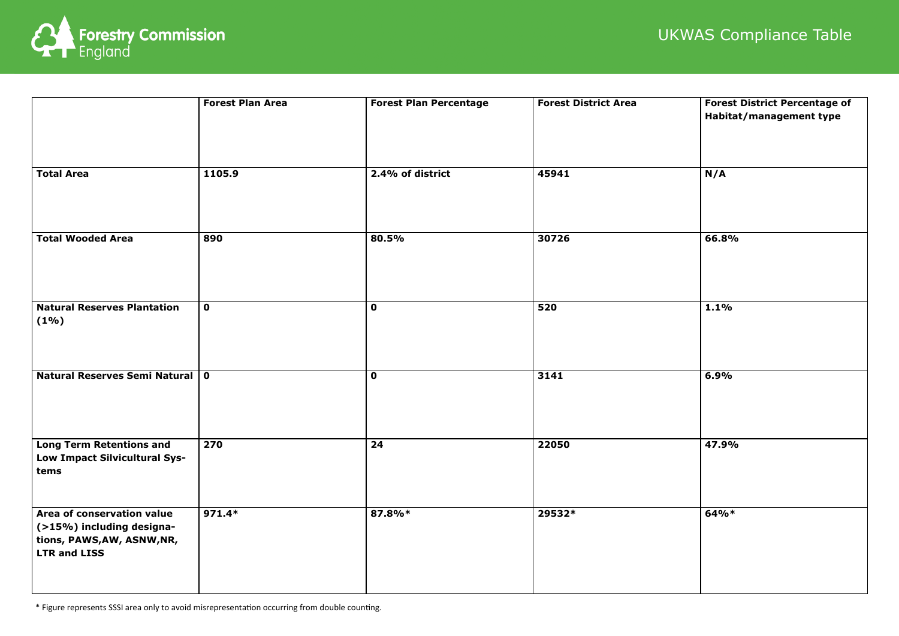| <b>Forest District Percentage of</b> |
|--------------------------------------|
| Habitat/management type              |
|                                      |
|                                      |
|                                      |
| N/A                                  |
|                                      |
|                                      |
|                                      |
|                                      |
|                                      |
| 66.8%                                |
|                                      |
|                                      |
|                                      |
|                                      |
|                                      |
| 1.1%                                 |
|                                      |
|                                      |
|                                      |
|                                      |
|                                      |
| 6.9%                                 |
|                                      |
|                                      |
|                                      |
|                                      |
| 47.9%                                |
|                                      |
|                                      |
|                                      |
|                                      |
|                                      |
| 64%*                                 |
|                                      |
|                                      |
|                                      |
|                                      |
|                                      |
|                                      |
|                                      |



|                                                                                                               | <b>Forest Plan Area</b> | <b>Forest Plan Percentage</b> | <b>Forest District Area</b> | <b>Forest District Percentage of</b><br>Habitat/management type |
|---------------------------------------------------------------------------------------------------------------|-------------------------|-------------------------------|-----------------------------|-----------------------------------------------------------------|
| <b>Total Area</b>                                                                                             | 1105.9                  | 2.4% of district              | 45941                       | N/A                                                             |
| <b>Total Wooded Area</b>                                                                                      | 890                     | 80.5%                         | 30726                       | 66.8%                                                           |
| Natural Reserves Plantation<br>$(1\%)$                                                                        | $\mathbf 0$             | $\mathbf 0$                   | 520                         | 1.1%                                                            |
| Natural Reserves Semi Natural   0                                                                             |                         | $\mathbf 0$                   | 3141                        | 6.9%                                                            |
| Long Term Retentions and<br>Low Impact Silvicultural Sys-<br>tems                                             | 270                     | 24                            | 22050                       | 47.9%                                                           |
| Area of conservation value<br>$($ >15%) including designa-<br>tions, PAWS,AW, ASNW,NR,<br><b>LTR and LISS</b> | $971.4*$                | 87.8%*                        | 29532*                      | $64%*$                                                          |

# UKWAS Compliance Table

\* Figure represents SSSI area only to avoid misrepresentation occurring from double counting.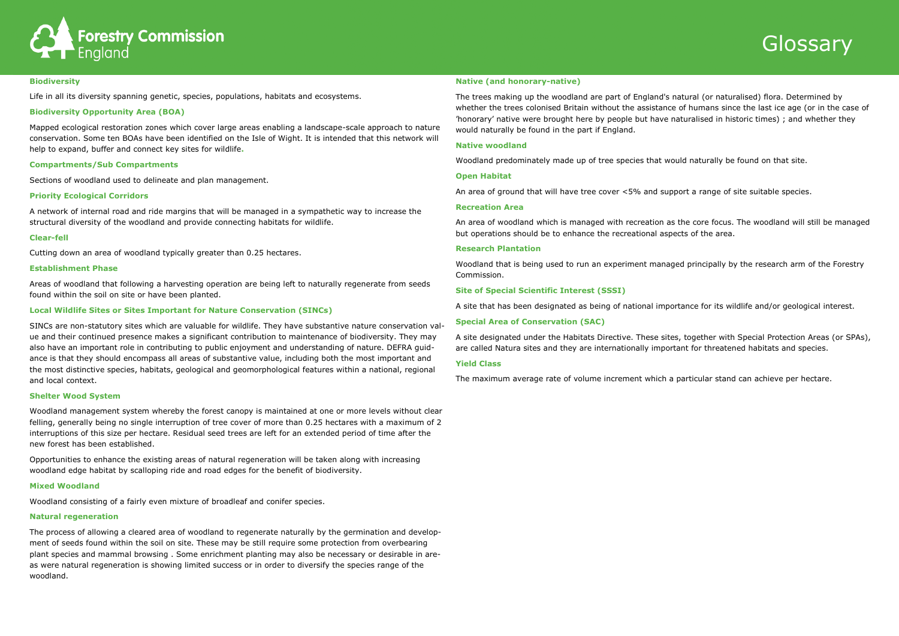



#### **Biodiversity**

Life in all its diversity spanning genetic, species, populations, habitats and ecosystems.

## **Biodiversity Opportunity Area (BOA)**

Mapped ecological restoration zones which cover large areas enabling a landscape-scale approach to nature conservation. Some ten BOAs have been identified on the Isle of Wight. It is intended that this network will help to expand, buffer and connect key sites for wildlife**.**

## **Compartments/Sub Compartments**

Sections of woodland used to delineate and plan management.

# **Priority Ecological Corridors**

A network of internal road and ride margins that will be managed in a sympathetic way to increase the structural diversity of the woodland and provide connecting habitats for wildlife.

## **Clear-fell**

Cutting down an area of woodland typically greater than 0.25 hectares.

## **Establishment Phase**

Areas of woodland that following a harvesting operation are being left to naturally regenerate from seeds found within the soil on site or have been planted.

## **Local Wildlife Sites or Sites Important for Nature Conservation (SINCs)**

SINCs are non-statutory sites which are valuable for wildlife. They have substantive nature conservation value and their continued presence makes a significant contribution to maintenance of biodiversity. They may also have an important role in contributing to public enjoyment and understanding of nature. DEFRA guidance is that they should encompass all areas of substantive value, including both the most important and the most distinctive species, habitats, geological and geomorphological features within a national, regional and local context.

## **Shelter Wood System**

Woodland management system whereby the forest canopy is maintained at one or more levels without clear felling, generally being no single interruption of tree cover of more than 0.25 hectares with a maximum of 2 interruptions of this size per hectare. Residual seed trees are left for an extended period of time after the new forest has been established.

Opportunities to enhance the existing areas of natural regeneration will be taken along with increasing woodland edge habitat by scalloping ride and road edges for the benefit of biodiversity.

#### **Mixed Woodland**

Woodland consisting of a fairly even mixture of broadleaf and conifer species.

## **Natural regeneration**

The process of allowing a cleared area of woodland to regenerate naturally by the germination and development of seeds found within the soil on site. These may be still require some protection from overbearing plant species and mammal browsing . Some enrichment planting may also be necessary or desirable in areas were natural regeneration is showing limited success or in order to diversify the species range of the woodland.

### **Native (and honorary-native)**

The trees making up the woodland are part of England's natural (or naturalised) flora. Determined by whether the trees colonised Britain without the assistance of humans since the last ice age (or in the case of 'honorary' native were brought here by people but have naturalised in historic times) ; and whether they would naturally be found in the part if England.

#### **Native woodland**

Woodland predominately made up of tree species that would naturally be found on that site.

#### **Open Habitat**

An area of ground that will have tree cover <5% and support a range of site suitable species.

#### **Recreation Area**

An area of woodland which is managed with recreation as the core focus. The woodland will still be managed but operations should be to enhance the recreational aspects of the area.

#### **Research Plantation**

Woodland that is being used to run an experiment managed principally by the research arm of the Forestry Commission.

#### **Site of Special Scientific Interest (SSSI)**

A site that has been designated as being of national importance for its wildlife and/or geological interest.

## **Special Area of Conservation (SAC)**

A site designated under the Habitats Directive. These sites, together with Special Protection Areas (or SPAs), are called Natura sites and they are internationally important for threatened habitats and species.

## **Yield Class**

The maximum average rate of volume increment which a particular stand can achieve per hectare.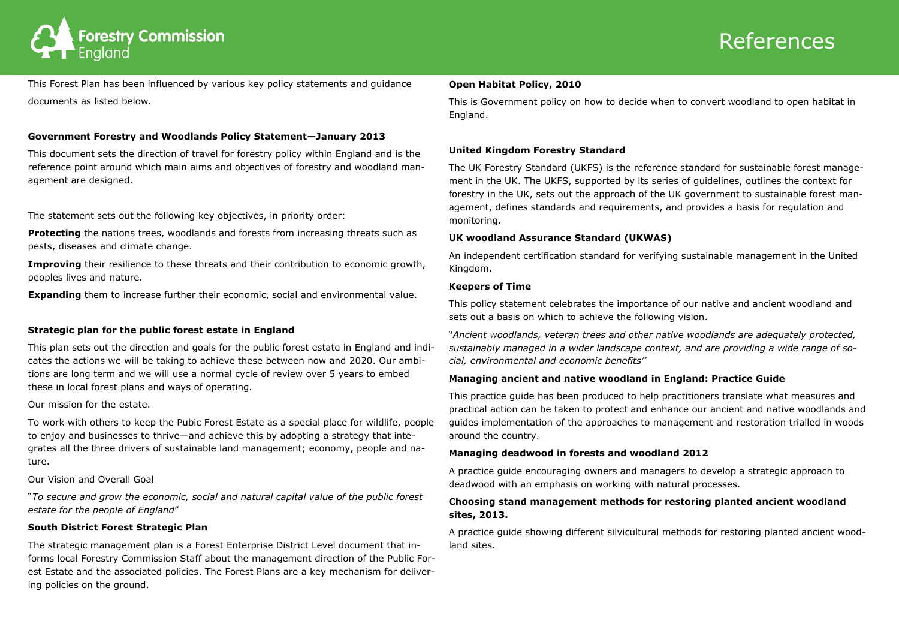# References



This Forest Plan has been influenced by various key policy statements and guidance documents as listed below.

# **Government Forestry and Woodlands Policy Statement—January 2013**

This document sets the direction of travel for forestry policy within England and is the reference point around which main aims and objectives of forestry and woodland management are designed.

**Protecting** the nations trees, woodlands and forests from increasing threats such as pests, diseases and climate change.

**Improving** their resilience to these threats and their contribution to economic growth, peoples lives and nature.

The statement sets out the following key objectives, in priority order:

**Expanding** them to increase further their economic, social and environmental value.

# **Strategic plan for the public forest estate in England**

This plan sets out the direction and goals for the public forest estate in England and indicates the actions we will be taking to achieve these between now and 2020. Our ambitions are long term and we will use a normal cycle of review over 5 years to embed these in local forest plans and ways of operating.

Our mission for the estate.

To work with others to keep the Pubic Forest Estate as a special place for wildlife, people to enjoy and businesses to thrive—and achieve this by adopting a strategy that integrates all the three drivers of sustainable land management; economy, people and nature.

Our Vision and Overall Goal

"*To secure and grow the economic, social and natural capital value of the public forest estate for the people of England*"

# **South District Forest Strategic Plan**

The strategic management plan is a Forest Enterprise District Level document that informs local Forestry Commission Staff about the management direction of the Public Forest Estate and the associated policies. The Forest Plans are a key mechanism for delivering policies on the ground.

# **Open Habitat Policy, 2010**

This is Government policy on how to decide when to convert woodland to open habitat in England.

# **United Kingdom Forestry Standard**

The UK Forestry Standard (UKFS) is the reference standard for sustainable forest management in the UK. The UKFS, supported by its series of guidelines, outlines the context for forestry in the UK, sets out the approach of the UK government to sustainable forest management, defines standards and requirements, and provides a basis for regulation and monitoring.

# **UK woodland Assurance Standard (UKWAS)**

An independent certification standard for verifying sustainable management in the United Kingdom.

# **Keepers of Time**

This policy statement celebrates the importance of our native and ancient woodland and sets out a basis on which to achieve the following vision.

"*Ancient woodlands, veteran trees and other native woodlands are adequately protected, sustainably managed in a wider landscape context, and are providing a wide range of social, environmental and economic benefits''* 

# **Managing ancient and native woodland in England: Practice Guide**

This practice guide has been produced to help practitioners translate what measures and practical action can be taken to protect and enhance our ancient and native woodlands and guides implementation of the approaches to management and restoration trialled in woods around the country.

# **Managing deadwood in forests and woodland 2012**

A practice guide encouraging owners and managers to develop a strategic approach to deadwood with an emphasis on working with natural processes.

# **Choosing stand management methods for restoring planted ancient woodland sites, 2013.**

A practice guide showing different silvicultural methods for restoring planted ancient woodland sites.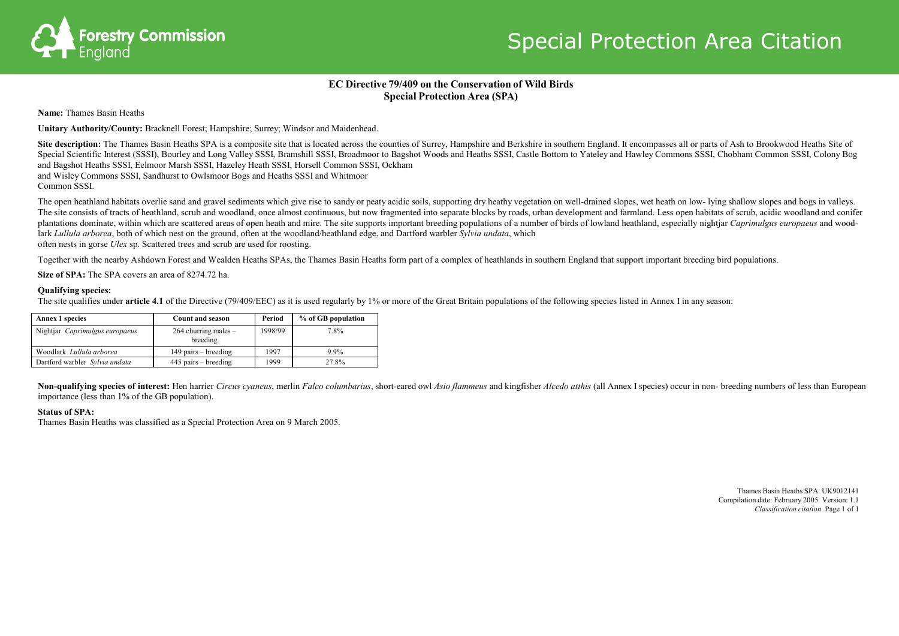

# **EC Directive 79/409 on the Conservation of Wild Birds Special Protection Area (SPA)**

**Name:** Thames Basin Heaths

**Unitary Authority/County:** Bracknell Forest; Hampshire; Surrey; Windsor and Maidenhead.

Site description: The Thames Basin Heaths SPA is a composite site that is located across the counties of Surrey, Hampshire and Berkshire in southern England. It encompasses all or parts of Ash to Brookwood Heaths Site of Special Scientific Interest (SSSI), Bourley and Long Valley SSSI, Bramshill SSSI, Broadmoor to Bagshot Woods and Heaths SSSI, Castle Bottom to Yateley and Hawley Commons SSSI, Chobham Common SSSI, Colony Bog and Bagshot Heaths SSSI, Eelmoor Marsh SSSI, Hazeley Heath SSSI, Horsell Common SSSI, Ockham and Wisley Commons SSSI, Sandhurst to Owlsmoor Bogs and Heaths SSSI and Whitmoor Common SSSI.

The open heathland habitats overlie sand and gravel sediments which give rise to sandy or peaty acidic soils, supporting dry heathy vegetation on well-drained slopes, wet heath on low-lying shallow slopes and bogs in valle The site consists of tracts of heathland, scrub and woodland, once almost continuous, but now fragmented into separate blocks by roads, urban development and farmland. Less open habitats of scrub, acidic woodland and conifer plantations dominate, within which are scattered areas of open heath and mire. The site supports important breeding populations of a number of birds of lowland heathland, especially nightiar *Caprimulgus europaeus* and woo lark *Lullula arborea*, both of which nest on the ground, often at the woodland/heathland edge, and Dartford warbler *Sylvia undata*, which often nests in gorse *Ulex* sp. Scattered trees and scrub are used for roosting.

Non-qualifying species of interest: Hen harrier Circus cyaneus, merlin Falco columbarius, short-eared owl Asio flammeus and kingfisher Alcedo atthis (all Annex I species) occur in non- breeding numbers of less than Europea importance (less than 1% of the GB population).

Together with the nearby Ashdown Forest and Wealden Heaths SPAs, the Thames Basin Heaths form part of a complex of heathlands in southern England that support important breeding bird populations.

**Size of SPA:** The SPA covers an area of 8274.72 ha.

# **Qualifying species:**

The site qualifies under **article 4.1** of the Directive (79/409/EEC) as it is used regularly by 1% or more of the Great Britain populations of the following species listed in Annex I in any season:

# **Status of SPA:**

Thames Basin Heaths was classified as a Special Protection Area on 9 March 2005.

Thames Basin Heaths SPA UK9012141 Compilation date: February 2005 Version: 1.1 *Classification citation* Page 1 of 1

| <b>Annex 1 species</b>         | <b>Count and season</b>            | Period  | % of GB population |
|--------------------------------|------------------------------------|---------|--------------------|
| Nightjar Caprimulgus europaeus | $264$ churring males –<br>breeding | 1998/99 | 7.8%               |
| Woodlark Lullula arborea       | $149$ pairs – breeding             | 1997    | $9.9\%$            |
| Dartford warbler Sylvia undata | $445$ pairs – breeding             | 1999    | 27.8%              |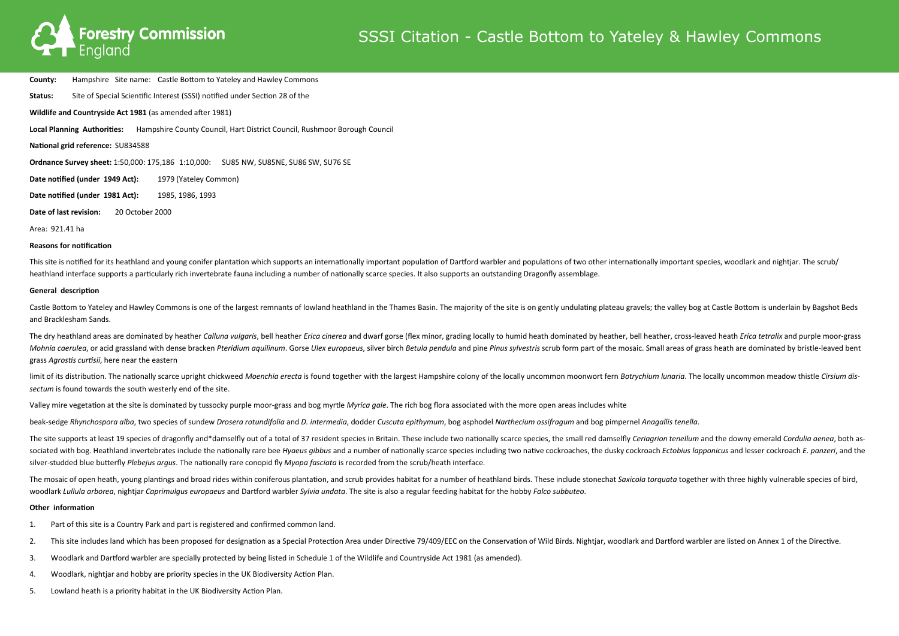

**County:** Hampshire Site name: Castle Bottom to Yateley and Hawley Commons

**Status:** Site of Special Scientific Interest (SSSI) notified under Section 28 of the **Wildlife and Countryside Act 1981** (as amended after 1981) **Local Planning Authorities:** Hampshire County Council, Hart District Council, Rushmoor Borough Council **National grid reference:** SU834588 **Ordnance Survey sheet:** 1:50,000: 175,186 1:10,000: SU85 NW, SU85NE, SU86 SW, SU76 SE **Date notified (under 1949 Act):** 1979 (Yateley Common)

This site is notified for its heathland and young conifer plantation which supports an internationally important population of Dartford warbler and populations of two other internationally important species, woodlark and n heathland interface supports a particularly rich invertebrate fauna including a number of nationally scarce species. It also supports an outstanding Dragonfly assemblage.

**Date notified (under 1981 Act):** 1985, 1986, 1993

**Date of last revision:** 20 October 2000

Area: 921.41 ha

# **Reasons for notification**

Castle Bottom to Yateley and Hawley Commons is one of the largest remnants of lowland heathland in the Thames Basin. The majority of the site is on gently undulating plateau gravels; the valley bog at Castle Bottom is unde and Bracklesham Sands.

The dry heathland areas are dominated by heather Calluna vulgaris, bell heather Erica cinerea and dwarf gorse (flex minor, grading locally to humid heath dominated by heather, bell heather, cross-leaved heath Erica tetrali Mohnia caerulea, or acid grassland with dense bracken Pteridium aquilinum. Gorse Ulex europaeus, silver birch Betula pendula and pine Pinus sylvestris scrub form part of the mosaic. Small areas of grass heath are dominated grass *Agrostis curtisii*, here near the eastern

#### **General description**

limit of its distribution. The nationally scarce upright chickweed Moenchia erecta is found together with the largest Hampshire colony of the locally uncommon moonwort fern Botrychium lungrig. The locally uncommon meadow t *sectum* is found towards the south westerly end of the site.

The site supports at least 19 species of dragonfly and\*damselfly out of a total of 37 resident species in Britain. These include two nationally scarce species, the small red damselfly Cerigarion tenellum and the downy emer sociated with bog. Heathland invertebrates include the nationally rare bee Hygeus gibbus and a number of nationally scarce species including two native cockroaches, the dusky cockroach Ectobius lapponicus and lesser cockro silver-studded blue butterfly *Plebejus argus*. The nationally rare conopid fly *Myopa fasciata* is recorded from the scrub/heath interface.

The mosaic of open heath, young plantings and broad rides within coniferous plantation, and scrub provides habitat for a number of heathland birds. These include stonechat Saxicola torquata together with three highly vulne woodlark *Lullula arborea*, nightjar *Caprimulgus europaeus* and Dartford warbler *Sylvia undata*. The site is also a regular feeding habitat for the hobby *Falco subbuteo*.

Valley mire vegetation at the site is dominated by tussocky purple moor-grass and bog myrtle *Myrica gale*. The rich bog flora associated with the more open areas includes white

beak-sedge Rhynchospora alba, two species of sundew Drosera rotundifolia and D. intermedia, dodder Cuscuta epithymum, bog asphodel Narthecium ossifragum and bog pimpernel Anagallis tenella.

#### **Other information**

- 1. Part of this site is a Country Park and part is registered and confirmed common land.
- 2. This site includes land which has been proposed for designation as a Special Protection Area under Directive 79/409/EEC on the Conservation of Wild Birds. Nightjar, woodlark and Dartford warbler are listed on Annex 1 of
- 3. Woodlark and Dartford warbler are specially protected by being listed in Schedule 1 of the Wildlife and Countryside Act 1981 (as amended).
- 4. Woodlark, nightjar and hobby are priority species in the UK Biodiversity Action Plan.
- 5. Lowland heath is a priority habitat in the UK Biodiversity Action Plan.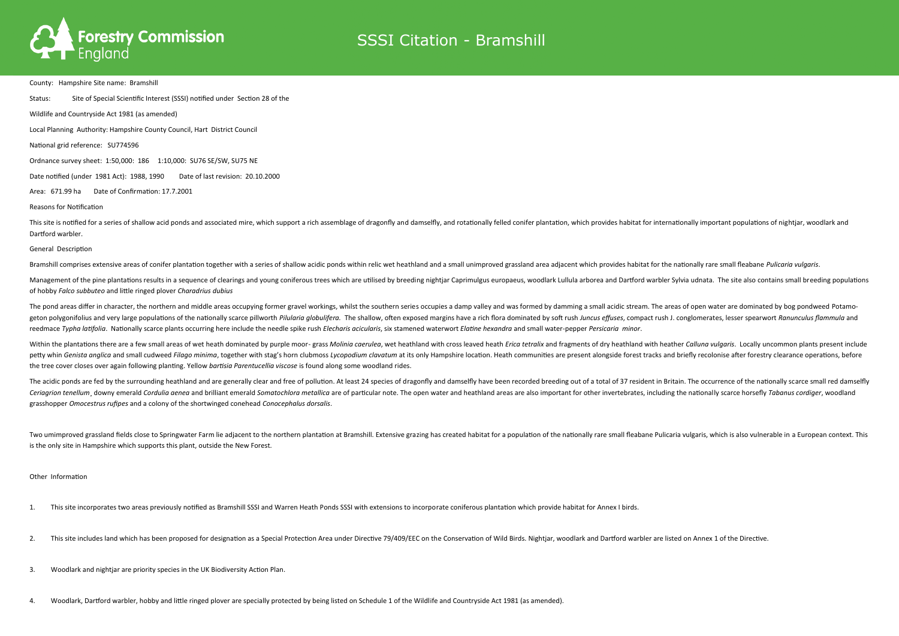

County: Hampshire Site name: Bramshill

Status: Site of Special Scientific Interest (SSSI) notified under Section 28 of the

Wildlife and Countryside Act 1981 (as amended)

Local Planning Authority: Hampshire County Council, Hart District Council

National grid reference: SU774596

Ordnance survey sheet: 1:50,000: 186 1:10,000: SU76 SE/SW, SU75 NE

This site is notified for a series of shallow acid ponds and associated mire, which support a rich assemblage of dragonfly and damselfly, and rotationally felled conifer plantation, which provides habitat for international Dartford warbler.

Date notified (under 1981 Act): 1988, 1990 Date of last revision: 20.10.2000

Area: 671.99 ha Date of Confirmation: 17.7.2001

Reasons for Notification

Management of the pine plantations results in a sequence of clearings and young coniferous trees which are utilised by breeding nightiar Caprimulgus europaeus, woodlark Lullula arborea and Dartford warbler Sylvia udnata. T of hobby *Falco subbuteo* and little ringed plover *Charadrius dubius*

The pond areas differ in character, the northern and middle areas occupying former gravel workings, whilst the southern series occupies a damp valley and was formed by damming a small acidic stream. The areas of open water geton polygonifolius and very large populations of the nationally scarce pillworth Pilularia globulifera. The shallow, often exposed margins have a rich flora dominated by soft rush Juncus effuses, compact rush J. conglome reedmace Typha latifolia. Nationally scarce plants occurring here include the needle spike rush Elecharis acicularis, six stamened waterwort Elatine hexandra and small water-pepper Persicaria minor.

General Description

Bramshill comprises extensive areas of conifer plantation together with a series of shallow acidic ponds within relic wet heathland and a small unimproved grassland area adjacent which provides habitat for the nationally r

Within the plantations there are a few small areas of wet heath dominated by purple moor- grass Molinig caeruleg, wet heathland with cross leaved heath Erica tetralix and fragments of dry heathland with heather Calluna vul petty whin Genista anglica and small cudweed Filago minima, together with stag's horn clubmoss Lycopodium clavatum at its only Hampshire location. Heath communities are present alongside forest tracks and briefly recolonis the tree cover closes over again following planting. Yellow *bartisia Parentucellia viscose* is found along some woodland rides.

The acidic ponds are fed by the surrounding heathland and are generally clear and free of pollution. At least 24 species of dragonfly and damselfly have been recorded breeding out of a total of 37 resident in Britain. The Ceriagrion tenellum, downy emerald Cordulia aenea and brilliant emerald Somatochlora metallica are of particular note. The open water and heathland areas are also important for other invertebrates, including the nationally grasshopper *Omocestrus rufipes* and a colony of the shortwinged conehead *Conocephalus dorsalis*.

Two umimproved grassland fields close to Springwater Farm lie adjacent to the northern plantation at Bramshill. Extensive grazing has created habitat for a population of the nationally rare small fleabane Pulicaria vulgari is the only site in Hampshire which supports this plant, outside the New Forest.

Other Information

1. This site incorporates two areas previously notified as Bramshill SSSI and Warren Heath Ponds SSSI with extensions to incorporate coniferous plantation which provide habitat for Annex I birds.

2. This site includes land which has been proposed for designation as a Special Protection Area under Directive 79/409/EEC on the Conservation of Wild Birds. Nightjar, woodlark and Dartford warbler are listed on Annex 1 of

3. Woodlark and nightjar are priority species in the UK Biodiversity Action Plan.

4. Woodlark, Dartford warbler, hobby and little ringed plover are specially protected by being listed on Schedule 1 of the Wildlife and Countryside Act 1981 (as amended).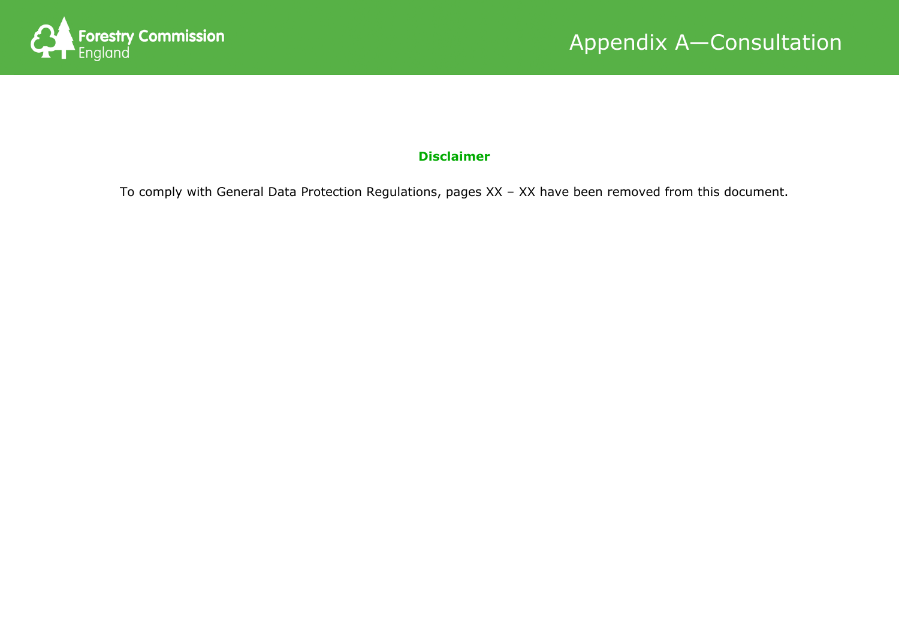



# **Disclaimer**

To comply with General Data Protection Regulations, the consultation pages have been removed from this document.